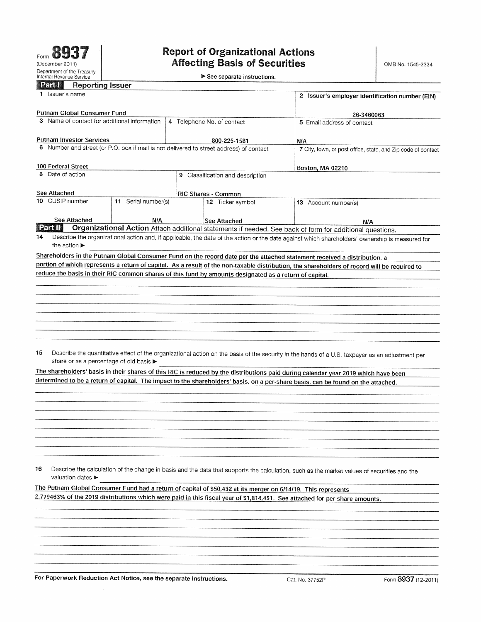$\blacktriangleright$  See separate instructions.

| <b>Reporting Issuer</b><br><b>Exclass</b>                                                                                        |                            |                                                 |                                                                                                               |                                                                                                                                                 |  |  |  |  |
|----------------------------------------------------------------------------------------------------------------------------------|----------------------------|-------------------------------------------------|---------------------------------------------------------------------------------------------------------------|-------------------------------------------------------------------------------------------------------------------------------------------------|--|--|--|--|
| 1 Issuer's name                                                                                                                  |                            | 2 Issuer's employer identification number (EIN) |                                                                                                               |                                                                                                                                                 |  |  |  |  |
| Putnam Global Consumer Fund                                                                                                      |                            |                                                 |                                                                                                               | 26-3460063                                                                                                                                      |  |  |  |  |
| 3 Name of contact for additional information                                                                                     | 4 Telephone No. of contact | 5 Email address of contact                      |                                                                                                               |                                                                                                                                                 |  |  |  |  |
|                                                                                                                                  |                            |                                                 |                                                                                                               |                                                                                                                                                 |  |  |  |  |
| <b>Putnam Investor Services</b><br>6 Number and street (or P.O. box if mail is not delivered to street address) of contact       |                            |                                                 | 800-225-1581                                                                                                  | N/A                                                                                                                                             |  |  |  |  |
|                                                                                                                                  |                            |                                                 |                                                                                                               | 7 City, town, or post office, state, and Zip code of contact                                                                                    |  |  |  |  |
| 100 Federal Street                                                                                                               |                            | Boston, MA 02210                                |                                                                                                               |                                                                                                                                                 |  |  |  |  |
| 8 Date of action                                                                                                                 |                            |                                                 | 9 Classification and description                                                                              |                                                                                                                                                 |  |  |  |  |
|                                                                                                                                  |                            |                                                 |                                                                                                               |                                                                                                                                                 |  |  |  |  |
| See Attached<br>10 CUSIP number                                                                                                  |                            |                                                 | <b>RIC Shares - Common</b>                                                                                    |                                                                                                                                                 |  |  |  |  |
|                                                                                                                                  | 11 Serial number(s)        |                                                 | 12 Ticker symbol                                                                                              | 13 Account number(s)                                                                                                                            |  |  |  |  |
| See Attached                                                                                                                     | N/A                        |                                                 | See Attached                                                                                                  | N/A                                                                                                                                             |  |  |  |  |
| <b>Extra</b> ll                                                                                                                  |                            |                                                 | Organizational Action Attach additional statements if needed. See back of form for additional questions.      |                                                                                                                                                 |  |  |  |  |
| 14<br>the action $\blacktriangleright$                                                                                           |                            |                                                 |                                                                                                               | Describe the organizational action and, if applicable, the date of the action or the date against which shareholders' ownership is measured for |  |  |  |  |
|                                                                                                                                  |                            |                                                 |                                                                                                               | Shareholders in the Putnam Global Consumer Fund on the record date per the attached statement received a distribution, a                        |  |  |  |  |
|                                                                                                                                  |                            |                                                 |                                                                                                               | portion of which represents a return of capital. As a result of the non-taxable distribution, the shareholders of record will be required to    |  |  |  |  |
|                                                                                                                                  |                            |                                                 | reduce the basis in their RIC common shares of this fund by amounts designated as a return of capital.        |                                                                                                                                                 |  |  |  |  |
|                                                                                                                                  |                            |                                                 |                                                                                                               |                                                                                                                                                 |  |  |  |  |
|                                                                                                                                  |                            |                                                 |                                                                                                               |                                                                                                                                                 |  |  |  |  |
|                                                                                                                                  |                            |                                                 |                                                                                                               |                                                                                                                                                 |  |  |  |  |
|                                                                                                                                  |                            |                                                 |                                                                                                               |                                                                                                                                                 |  |  |  |  |
|                                                                                                                                  |                            |                                                 |                                                                                                               |                                                                                                                                                 |  |  |  |  |
|                                                                                                                                  |                            |                                                 |                                                                                                               |                                                                                                                                                 |  |  |  |  |
|                                                                                                                                  |                            |                                                 |                                                                                                               |                                                                                                                                                 |  |  |  |  |
| 15<br>share or as a percentage of old basis ▶                                                                                    |                            |                                                 |                                                                                                               | Describe the quantitative effect of the organizational action on the basis of the security in the hands of a U.S. taxpayer as an adjustment per |  |  |  |  |
|                                                                                                                                  |                            |                                                 |                                                                                                               | The shareholders' basis in their shares of this RIC is reduced by the distributions paid during calendar year 2019 which have been              |  |  |  |  |
| determined to be a return of capital. The impact to the shareholders' basis, on a per-share basis, can be found on the attached. |                            |                                                 |                                                                                                               |                                                                                                                                                 |  |  |  |  |
|                                                                                                                                  |                            |                                                 |                                                                                                               |                                                                                                                                                 |  |  |  |  |
|                                                                                                                                  |                            |                                                 |                                                                                                               |                                                                                                                                                 |  |  |  |  |
|                                                                                                                                  |                            |                                                 |                                                                                                               |                                                                                                                                                 |  |  |  |  |
|                                                                                                                                  |                            |                                                 |                                                                                                               |                                                                                                                                                 |  |  |  |  |
|                                                                                                                                  |                            |                                                 |                                                                                                               |                                                                                                                                                 |  |  |  |  |
|                                                                                                                                  |                            |                                                 |                                                                                                               |                                                                                                                                                 |  |  |  |  |
|                                                                                                                                  |                            |                                                 |                                                                                                               |                                                                                                                                                 |  |  |  |  |
|                                                                                                                                  |                            |                                                 |                                                                                                               |                                                                                                                                                 |  |  |  |  |
| 16<br>valuation dates ▶                                                                                                          |                            |                                                 |                                                                                                               | Describe the calculation of the change in basis and the data that supports the calculation, such as the market values of securities and the     |  |  |  |  |
|                                                                                                                                  |                            |                                                 |                                                                                                               |                                                                                                                                                 |  |  |  |  |
|                                                                                                                                  |                            |                                                 | The Putnam Global Consumer Fund had a return of capital of \$50,432 at its merger on 6/14/19. This represents | 2.779463% of the 2019 distributions which were paid in this fiscal year of \$1,814,451. See attached for per share amounts.                     |  |  |  |  |
|                                                                                                                                  |                            |                                                 |                                                                                                               |                                                                                                                                                 |  |  |  |  |
|                                                                                                                                  |                            |                                                 |                                                                                                               |                                                                                                                                                 |  |  |  |  |
|                                                                                                                                  |                            |                                                 |                                                                                                               |                                                                                                                                                 |  |  |  |  |
|                                                                                                                                  |                            |                                                 |                                                                                                               |                                                                                                                                                 |  |  |  |  |
|                                                                                                                                  |                            |                                                 |                                                                                                               |                                                                                                                                                 |  |  |  |  |
|                                                                                                                                  |                            |                                                 |                                                                                                               |                                                                                                                                                 |  |  |  |  |
|                                                                                                                                  |                            |                                                 |                                                                                                               |                                                                                                                                                 |  |  |  |  |

For Paperwork Reduction Act Notice, see the separate Instructions. Cat. No. 37752P Form 8937 (12-2011)